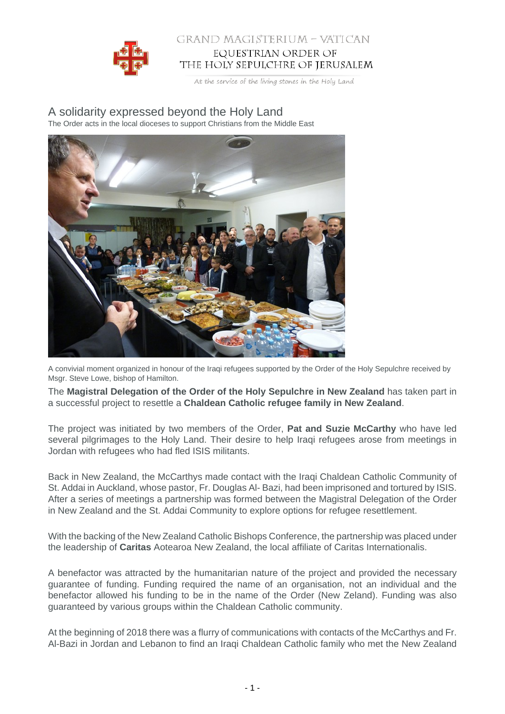

## GRAND MAGISTERIUM - VATICAN EQUESTRIAN ORDER OF THE HOLY SEPULCHRE OF JERUSALEM

At the service of the living stones in the Holy Land

## A solidarity expressed beyond the Holy Land

The Order acts in the local dioceses to support Christians from the Middle East



A convivial moment organized in honour of the Iraqi refugees supported by the Order of the Holy Sepulchre received by Msgr. Steve Lowe, bishop of Hamilton.

The **Magistral Delegation of the Order of the Holy Sepulchre in New Zealand** has taken part in a successful project to resettle a **Chaldean Catholic refugee family in New Zealand**.

The project was initiated by two members of the Order, **Pat and Suzie McCarthy** who have led several pilgrimages to the Holy Land. Their desire to help Iraqi refugees arose from meetings in Jordan with refugees who had fled ISIS militants.

Back in New Zealand, the McCarthys made contact with the Iraqi Chaldean Catholic Community of St. Addai in Auckland, whose pastor, Fr. Douglas Al- Bazi, had been imprisoned and tortured by ISIS. After a series of meetings a partnership was formed between the Magistral Delegation of the Order in New Zealand and the St. Addai Community to explore options for refugee resettlement.

With the backing of the New Zealand Catholic Bishops Conference, the partnership was placed under the leadership of **Caritas** Aotearoa New Zealand, the local affiliate of Caritas Internationalis.

A benefactor was attracted by the humanitarian nature of the project and provided the necessary guarantee of funding. Funding required the name of an organisation, not an individual and the benefactor allowed his funding to be in the name of the Order (New Zeland). Funding was also guaranteed by various groups within the Chaldean Catholic community.

At the beginning of 2018 there was a flurry of communications with contacts of the McCarthys and Fr. Al-Bazi in Jordan and Lebanon to find an Iraqi Chaldean Catholic family who met the New Zealand